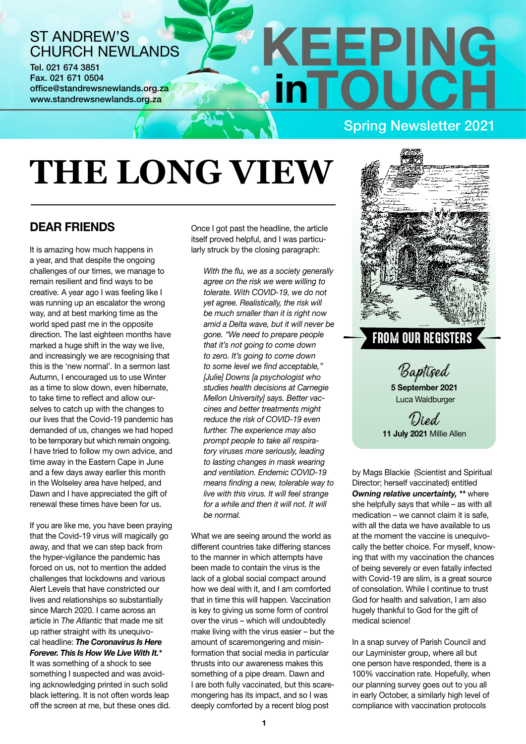## ST ANDREW'S CHURCH NEWLANDS

Tel. 021 674 3851 Fax. 021 671 0504 office@standrewsnewlands.org.za www.standrewsnewlands.org.za

# **THE LONG VIEW**

### **DEAR FRIENDS**

It is amazing how much happens in a year, and that despite the ongoing challenges of our times, we manage to remain resilient and find ways to be creative. A year ago I was feeling like I was running up an escalator the wrong way, and at best marking time as the world sped past me in the opposite direction. The last eighteen months have marked a huge shift in the way we live, and increasingly we are recognising that this is the 'new normal'. In a sermon last Autumn, I encouraged us to use Winter as a time to slow down, even hibernate, to take time to reflect and allow ourselves to catch up with the changes to our lives that the Covid-19 pandemic has demanded of us, changes we had hoped to be temporary but which remain ongoing. I have tried to follow my own advice, and time away in the Eastern Cape in June and a few days away earlier this month in the Wolseley area have helped, and Dawn and I have appreciated the gift of renewal these times have been for us.

If you are like me, you have been praying that the Covid-19 virus will magically go away, and that we can step back from the hyper-vigilance the pandemic has forced on us, not to mention the added challenges that lockdowns and various Alert Levels that have constricted our lives and relationships so substantially since March 2020. I came across an article in *The Atlantic* that made me sit up rather straight with its unequivocal headline: *The Coronavirus Is Here Forever. This Is How We Live With It.\** It was something of a shock to see something I suspected and was avoiding acknowledging printed in such solid black lettering. It is not often words leap off the screen at me, but these ones did.

Once I got past the headline, the article itself proved helpful, and I was particularly struck by the closing paragraph:

*With the flu, we as a society generally agree on the risk we were willing to tolerate. With COVID-19, we do not yet agree. Realistically, the risk will be much smaller than it is right now amid a Delta wave, but it will never be gone. "We need to prepare people that it's not going to come down to zero. It's going to come down to some level we find acceptable," [Julie] Downs [a psychologist who studies health decisions at Carnegie Mellon University] says. Better vaccines and better treatments might reduce the risk of COVID-19 even further. The experience may also prompt people to take all respiratory viruses more seriously, leading to lasting changes in mask wearing and ventilation. Endemic COVID-19 means finding a new, tolerable way to live with this virus. It will feel strange for a while and then it will not. It will be normal.*

What we are seeing around the world as different countries take differing stances to the manner in which attempts have been made to contain the virus is the lack of a global social compact around how we deal with it, and I am comforted that in time this will happen. Vaccination is key to giving us some form of control over the virus – which will undoubtedly make living with the virus easier – but the amount of scaremongering and misinformation that social media in particular thrusts into our awareness makes this something of a pipe dream. Dawn and I are both fully vaccinated, but this scaremongering has its impact, and so I was deeply comforted by a recent blog post



Spring Newsletter 2021

**KEEPING** 

**i**oUC

# FROM OUR REGISTERS

Baptised **5 September 2021**

Luca Waldburger

### l lied **11 July 2021** Millie Allen

by Mags Blackie (Scientist and Spiritual Director; herself vaccinated) entitled *Owning relative uncertainty, \*\** where she helpfully says that while – as with all medication – we cannot claim it is safe, with all the data we have available to us at the moment the vaccine is unequivocally the better choice. For myself, knowing that with my vaccination the chances of being severely or even fatally infected with Covid-19 are slim, is a great source of consolation. While I continue to trust God for health and salvation, I am also hugely thankful to God for the gift of medical science!

In a snap survey of Parish Council and our Layminister group, where all but one person have responded, there is a 100% vaccination rate. Hopefully, when our planning survey goes out to you all in early October, a similarly high level of compliance with vaccination protocols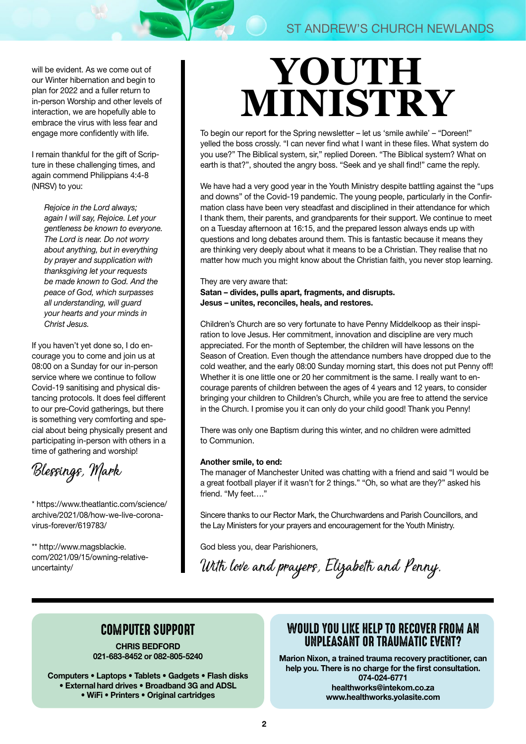will be evident. As we come out of our Winter hibernation and begin to plan for 2022 and a fuller return to in-person Worship and other levels of interaction, we are hopefully able to embrace the virus with less fear and engage more confidently with life.

I remain thankful for the gift of Scripture in these challenging times, and again commend Philippians 4:4-8 (NRSV) to you:

*Rejoice in the Lord always; again I will say, Rejoice. Let your gentleness be known to everyone. The Lord is near. Do not worry about anything, but in everything by prayer and supplication with thanksgiving let your requests be made known to God. And the peace of God, which surpasses all understanding, will guard your hearts and your minds in Christ Jesus.* 

If you haven't yet done so, I do encourage you to come and join us at 08:00 on a Sunday for our in-person service where we continue to follow Covid-19 sanitising and physical distancing protocols. It does feel different to our pre-Covid gatherings, but there is something very comforting and special about being physically present and participating in-person with others in a time of gathering and worship!

Blessings, Mark

\* [https://www.theatlantic.com/science/](https://www.theatlantic.com/science/archive/2021/08/how-we-live-coronavirus-forever/619783/) [archive/2021/08/how-we-live-corona](https://www.theatlantic.com/science/archive/2021/08/how-we-live-coronavirus-forever/619783/)[virus-forever/619783/](https://www.theatlantic.com/science/archive/2021/08/how-we-live-coronavirus-forever/619783/)

\*\* [http://www.magsblackie.](http://www.magsblackie.com/2021/09/15/owning-relative-uncertainty/) [com/2021/09/15/owning-relative](http://www.magsblackie.com/2021/09/15/owning-relative-uncertainty/)[uncertainty/](http://www.magsblackie.com/2021/09/15/owning-relative-uncertainty/)

# **YOUTH MINISTRY**

To begin our report for the Spring newsletter – let us 'smile awhile' – "Doreen!" yelled the boss crossly. "I can never find what I want in these files. What system do you use?" The Biblical system, sir," replied Doreen. "The Biblical system? What on earth is that?", shouted the angry boss. "Seek and ye shall find!" came the reply.

We have had a very good year in the Youth Ministry despite battling against the "ups" and downs" of the Covid-19 pandemic. The young people, particularly in the Confirmation class have been very steadfast and disciplined in their attendance for which I thank them, their parents, and grandparents for their support. We continue to meet on a Tuesday afternoon at 16:15, and the prepared lesson always ends up with questions and long debates around them. This is fantastic because it means they are thinking very deeply about what it means to be a Christian. They realise that no matter how much you might know about the Christian faith, you never stop learning.

They are very aware that: Satan – divides, pulls apart, fragments, and disrupts. Jesus – unites, reconciles, heals, and restores.

Children's Church are so very fortunate to have Penny Middelkoop as their inspiration to love Jesus. Her commitment, innovation and discipline are very much appreciated. For the month of September, the children will have lessons on the Season of Creation. Even though the attendance numbers have dropped due to the cold weather, and the early 08:00 Sunday morning start, this does not put Penny off! Whether it is one little one or 20 her commitment is the same. I really want to encourage parents of children between the ages of 4 years and 12 years, to consider bringing your children to Children's Church, while you are free to attend the service in the Church. I promise you it can only do your child good! Thank you Penny!

There was only one Baptism during this winter, and no children were admitted to Communion.

#### Another smile, to end:

The manager of Manchester United was chatting with a friend and said "I would be a great football player if it wasn't for 2 things." "Oh, so what are they?" asked his friend. "My feet…."

Sincere thanks to our Rector Mark, the Churchwardens and Parish Councillors, and the Lay Ministers for your prayers and encouragement for the Youth Ministry.

God bless you, dear Parishioners,

With love and prayers, Elizabeth and Penny.

## COMPUTER SUPPORT

**CHRIS BEDFORD 021-683-8452 or 082-805-5240**

**Computers • Laptops • Tablets • Gadgets • Flash disks • External hard drives • Broadband 3G and ADSL • WiFi • Printers • Original cartridges**

### WOULD YOU LIKE HELP TO RECOVER FROM AN UNPLEASANT OR TRAUMATIC EVENT?

**Marion Nixon, a trained trauma recovery practitioner, can help you. There is no charge for the first consultation. 074-024-6771 healthworks@intekom.co.za www.healthworks.yolasite.com**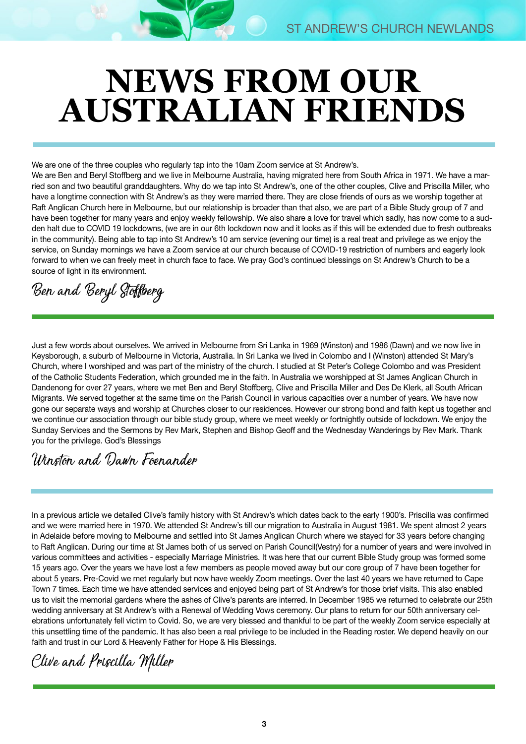# **NEWS FROM OUR AUSTRALIAN FRIENDS**

We are one of the three couples who regularly tap into the 10am Zoom service at St Andrew's.

We are Ben and Beryl Stoffberg and we live in Melbourne Australia, having migrated here from South Africa in 1971. We have a married son and two beautiful granddaughters. Why do we tap into St Andrew's, one of the other couples, Clive and Priscilla Miller, who have a longtime connection with St Andrew's as they were married there. They are close friends of ours as we worship together at Raft Anglican Church here in Melbourne, but our relationship is broader than that also, we are part of a Bible Study group of 7 and have been together for many years and enjoy weekly fellowship. We also share a love for travel which sadly, has now come to a sudden halt due to COVID 19 lockdowns, (we are in our 6th lockdown now and it looks as if this will be extended due to fresh outbreaks in the community). Being able to tap into St Andrew's 10 am service (evening our time) is a real treat and privilege as we enjoy the service, on Sunday mornings we have a Zoom service at our church because of COVID-19 restriction of numbers and eagerly look forward to when we can freely meet in church face to face. We pray God's continued blessings on St Andrew's Church to be a source of light in its environment.

# Ben and Beryl Stoffberg

Just a few words about ourselves. We arrived in Melbourne from Sri Lanka in 1969 (Winston) and 1986 (Dawn) and we now live in Keysborough, a suburb of Melbourne in Victoria, Australia. In Sri Lanka we lived in Colombo and I (Winston) attended St Mary's Church, where I worshiped and was part of the ministry of the church. I studied at St Peter's College Colombo and was President of the Catholic Students Federation, which grounded me in the faith. In Australia we worshipped at St James Anglican Church in Dandenong for over 27 years, where we met Ben and Beryl Stoffberg, Clive and Priscilla Miller and Des De Klerk, all South African Migrants. We served together at the same time on the Parish Council in various capacities over a number of years. We have now gone our separate ways and worship at Churches closer to our residences. However our strong bond and faith kept us together and we continue our association through our bible study group, where we meet weekly or fortnightly outside of lockdown. We enjoy the Sunday Services and the Sermons by Rev Mark, Stephen and Bishop Geoff and the Wednesday Wanderings by Rev Mark. Thank you for the privilege. God's Blessings

# Winston and Dawn Foenander

In a previous article we detailed Clive's family history with St Andrew's which dates back to the early 1900's. Priscilla was confirmed and we were married here in 1970. We attended St Andrew's till our migration to Australia in August 1981. We spent almost 2 years in Adelaide before moving to Melbourne and settled into St James Anglican Church where we stayed for 33 years before changing to Raft Anglican. During our time at St James both of us served on Parish Council(Vestry) for a number of years and were involved in various committees and activities - especially Marriage Ministries. It was here that our current Bible Study group was formed some 15 years ago. Over the years we have lost a few members as people moved away but our core group of 7 have been together for about 5 years. Pre-Covid we met regularly but now have weekly Zoom meetings. Over the last 40 years we have returned to Cape Town 7 times. Each time we have attended services and enjoyed being part of St Andrew's for those brief visits. This also enabled us to visit the memorial gardens where the ashes of Clive's parents are interred. In December 1985 we returned to celebrate our 25th wedding anniversary at St Andrew's with a Renewal of Wedding Vows ceremony. Our plans to return for our 50th anniversary celebrations unfortunately fell victim to Covid. So, we are very blessed and thankful to be part of the weekly Zoom service especially at this unsettling time of the pandemic. It has also been a real privilege to be included in the Reading roster. We depend heavily on our faith and trust in our Lord & Heavenly Father for Hope & His Blessings.

Clive and Priscilla Miller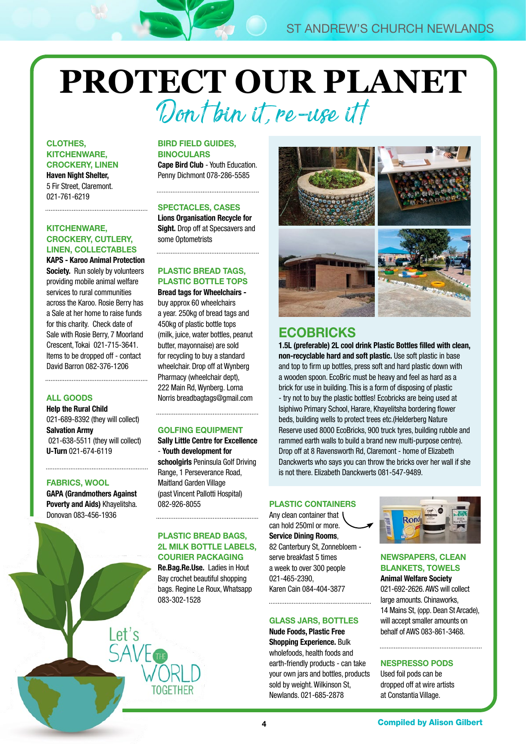# **PROTECT OUR PLANET** Dont bin it, re-use itt

#### CLOTHES, KITCHENWARE, CROCKERY, LINEN

Haven Night Shelter, 5 Fir Street, Claremont. 021-761-6219

#### KITCHENWARE, CROCKERY, CUTLERY, LINEN, COLLECTABLES

KAPS - Karoo Animal Protection Society. Run solely by volunteers providing mobile animal welfare services to rural communities across the Karoo. Rosie Berry has a Sale at her home to raise funds for this charity. Check date of Sale with Rosie Berry, 7 Moorland Crescent, Tokai 021-715-3641. Items to be dropped off - contact David Barron 082-376-1206

#### ALL GOODS

Help the Rural Child 021-689-8392 (they will collect) Salvation Army 021-638-5511 (they will collect) U-Turn 021-674-6119

#### FABRICS, WOOL

GAPA (Grandmothers Against Poverty and Aids) Khayelitsha. Donovan 083-456-1936

Let's

#### BIRD FIELD GUIDES, **BINOCULARS**

Cape Bird Club - Youth Education. Penny Dichmont 078-286-5585

#### SPECTACLES, CASES

Lions Organisation Recycle for Sight. Drop off at Specsavers and some Optometrists

#### PLASTIC BREAD TAGS, PLASTIC BOTTLE TOPS

Bread tags for Wheelchairs buy approx 60 wheelchairs a year. 250kg of bread tags and 450kg of plastic bottle tops (milk, juice, water bottles, peanut butter, mayonnaise) are sold for recycling to buy a standard wheelchair. Drop off at Wynberg Pharmacy (wheelchair dept), 222 Main Rd, Wynberg. Lorna Norris [breadbagtags@gmail.com](mailto:breadbagtags@gmail.com)

#### GOLFING EQUIPMENT

Sally Little Centre for Excellence - Youth development for schoolgirls Peninsula Golf Driving Range, 1 Perseverance Road, Maitland Garden Village (past Vincent Pallotti Hospital) 082-926-8055

#### PLASTIC BREAD BAGS, 2L MILK BOTTLE LABELS, COURIER PACKAGING

Re.Bag.Re.Use. Ladies in Hout Bay crochet beautiful shopping bags. Regine Le Roux, Whatsapp 083-302-1528

#### GLASS JARS, BOTTLES Nude Foods, Plastic Free

Shopping Experience. Bulk wholefoods, health foods and earth-friendly products - can take your own jars and bottles, products sold by weight. Wilkinson St, Newlands. 021-685-2878



### **ECOBRICKS**

1.5L (preferable) 2L cool drink Plastic Bottles filled with clean, non-recyclable hard and soft plastic. Use soft plastic in base and top to firm up bottles, press soft and hard plastic down with a wooden spoon. EcoBric must be heavy and feel as hard as a brick for use in building. This is a form of disposing of plastic - try not to buy the plastic bottles! Ecobricks are being used at Isiphiwo Primary School, Harare, Khayelitsha bordering flower beds, building wells to protect trees etc.(Helderberg Nature Reserve used 8000 EcoBricks, 900 truck tyres, building rubble and rammed earth walls to build a brand new multi-purpose centre). Drop off at 8 Ravensworth Rd, Claremont - home of Elizabeth Danckwerts who says you can throw the bricks over her wall if she is not there. Elizabeth Danckwerts 081-547-9489.

#### PLASTIC CONTAINERS

Any clean container that can hold 250ml or more. Service Dining Rooms, 82 Canterbury St, Zonnebloem serve breakfast 5 times a week to over 300 people 021-465-2390, Karen Cain 084-404-3877



#### NEWSPAPERS, CLEAN BLANKETS, TOWELS

Animal Welfare Society 021-692-2626. AWS will collect large amounts. Chinaworks, 14 Mains St, (opp. Dean St Arcade), will accept smaller amounts on behalf of AWS 083-861-3468.

#### NESPRESSO PODS

Used foil pods can be dropped off at wire artists at Constantia Village.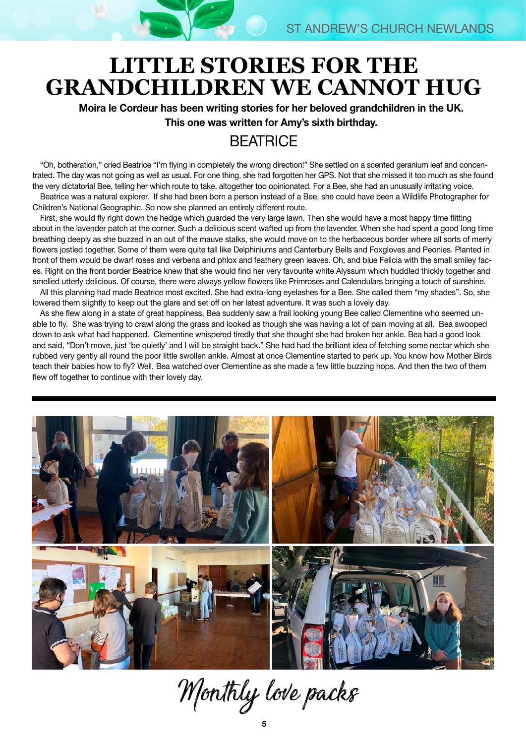# **LITTLE STORIES FOR THE GRANDCHILDREN WE CANNOT HUG**

Moira le Cordeur has been writing stories for her beloved grandchildren in the UK. This one was written for Amy's sixth birthday.

# **BEATRICE**

"Oh, botheration," cried Beatrice "I'm flying in completely the wrong direction!" She settled on a scented geranium leaf and concentrated. The day was not going as well as usual. For one thing, she had forgotten her GPS. Not that she missed it too much as she found the very dictatorial Bee, telling her which route to take, altogether too opinionated. For a Bee, she had an unusually irritating voice. Beatrice was a natural explorer. If she had been born a person instead of a Bee, she could have been a Wildlife Photographer for Children's National Geographic. So now she planned an entirely different route.

First, she would fly right down the hedge which guarded the very large lawn. Then she would have a most happy time flitting about in the lavender patch at the corner. Such a delicious scent wafted up from the lavender. When she had spent a good long time breathing deeply as she buzzed in an out of the mauve stalks, she would move on to the herbaceous border where all sorts of merry flowers jostled together. Some of them were quite tall like Delphiniums and Canterbury Bells and Foxgloves and Peonies. Planted in front of them would be dwarf roses and verbena and phlox and feathery green leaves. Oh, and blue Felicia with the small smiley faces. Right on the front border Beatrice knew that she would find her very favourite white Alyssum which huddled thickly together and smelled utterly delicious. Of course, there were always yellow flowers like Primroses and Calendulars bringing a touch of sunshine.

All this planning had made Beatrice most excited. She had extra-long eyelashes for a Bee. She called them "my shades". So, she lowered them slightly to keep out the glare and set off on her latest adventure. It was such a lovely day.

As she flew along in a state of great happiness, Bea suddenly saw a frail looking young Bee called Clementine who seemed unable to fly. She was trying to crawl along the grass and looked as though she was having a lot of pain moving at all. Bea swooped down to ask what had happened. Clementine whispered tiredly that she thought she had broken her ankle. Bea had a good look and said, "Don't move, just 'be quietly' and I will be straight back." She had had the brilliant idea of fetching some nectar which she rubbed very gently all round the poor little swollen ankle. Almost at once Clementine started to perk up. You know how Mother Birds teach their babies how to fly? Well, Bea watched over Clementine as she made a few little buzzing hops. And then the two of them flew off together to continue with their lovely day.



Monthly love packs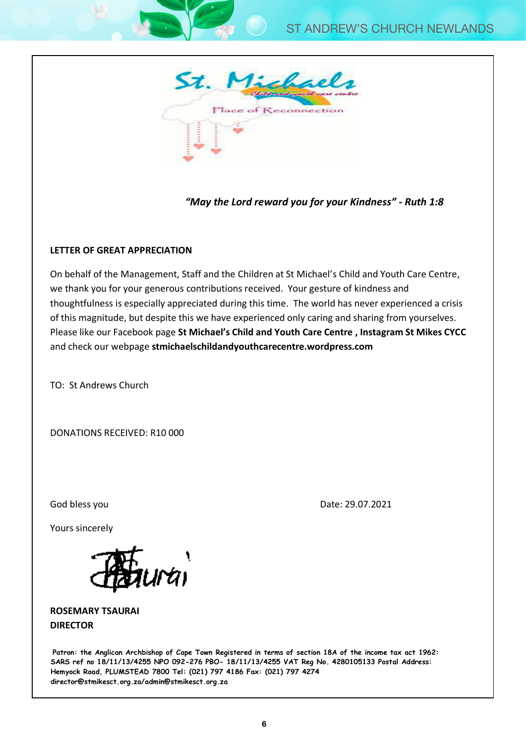

### "May the Lord reward you for your Kindness" - Ruth 1:8

#### **LETTER OF GREAT APPRECIATION** of this magnitude, but despite this we have experienced only caring and sharing from yourselves. Please like our Facebook page **St Michael's Child and Youth Care Centre , Instagram St Mikes CYCC**

On behalf of the Management, Staff and the Children at St Michael's Child and Youth Care Centre, we thank you for your generous contributions received. Your gesture of kindness and thoughtfulness is especially appreciated during this time. The world has never experienced a crisis of this magnitude, but despite this we have experienced only caring and sharing from yourselves. Please like our Facebook page **St Michael's Child and Youth Care Centre , Instagram St Mikes CYCC**  and check our webpage **stmichaelschildandyouthcarecentre.wordpress.com** 

TO: St Andrews Church

DONATIONS RECEIVED: R10 000 yours since  $\overline{y}$ 

God bless you Date: 29.07.2021

Yours sincerely



**ROSEMARY TSAURAI DIRECTOR**

**Patron: the Anglican Archbishop of Cape Town Registered in terms of section 18A of the income tax act 1962: SARS ref no 18/11/13/4255 NPO 092-276 PBO- 18/11/13/4255 VAT Reg No. 4280105133 Postal Address: Hemyock Road, PLUMSTEAD 7800 Tel: (021) 797 4186 Fax: (021) 797 4274 director@stmikesct.org.za/admin@stmikesct.org.za**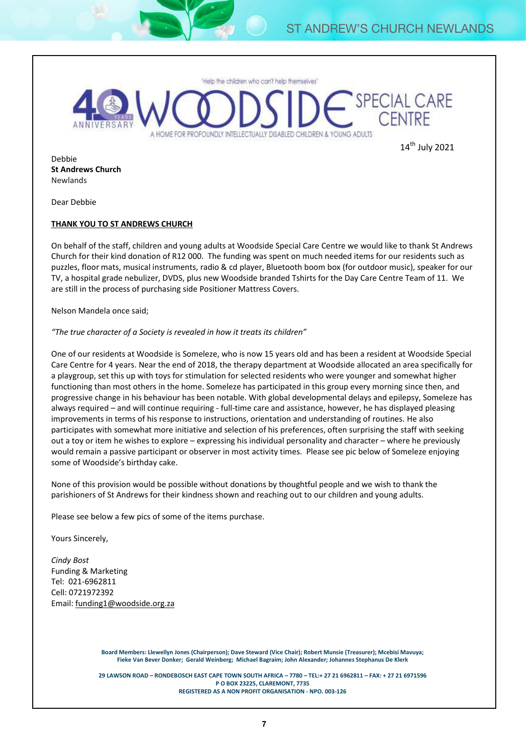

14<sup>th</sup> July 2021

Debbie **St Andrews Church** Newlands

Dear Debbie

#### **THANK YOU TO ST ANDREWS CHURCH**

On behalf of the staff, children and young adults at Woodside Special Care Centre we would like to thank St Andrews Church for their kind donation of R12 000. The funding was spent on much needed items for our residents such as puzzles, floor mats, musical instruments, radio & cd player, Bluetooth boom box (for outdoor music), speaker for our TV, a hospital grade nebulizer, DVDS, plus new Woodside branded Tshirts for the Day Care Centre Team of 11. We are still in the process of purchasing side Positioner Mattress Covers.

Nelson Mandela once said;

*"The true character of a Society is revealed in how it treats its children"*

One of our residents at Woodside is Someleze, who is now 15 years old and has been a resident at Woodside Special Care Centre for 4 years. Near the end of 2018, the therapy department at Woodside allocated an area specifically for a playgroup, set this up with toys for stimulation for selected residents who were younger and somewhat higher functioning than most others in the home. Someleze has participated in this group every morning since then, and progressive change in his behaviour has been notable. With global developmental delays and epilepsy, Someleze has always required – and will continue requiring - full-time care and assistance, however, he has displayed pleasing improvements in terms of his response to instructions, orientation and understanding of routines. He also participates with somewhat more initiative and selection of his preferences, often surprising the staff with seeking out a toy or item he wishes to explore – expressing his individual personality and character – where he previously would remain a passive participant or observer in most activity times. Please see pic below of Someleze enjoying some of Woodside's birthday cake.

None of this provision would be possible without donations by thoughtful people and we wish to thank the parishioners of St Andrews for their kindness shown and reaching out to our children and young adults.

Please see below a few pics of some of the items purchase.

Yours Sincerely,

*Cindy Bost* Funding & Marketing Tel: 021-6962811 Cell: 0721972392 Email: funding1@woodside.org.za

> **Board Members: Llewellyn Jones (Chairperson); Dave Steward (Vice Chair); Robert Munsie (Treasurer); Mcebisi Mavuya; Fieke Van Bever Donker; Gerald Weinberg; Michael Bagraim; John Alexander; Johannes Stephanus De Klerk**

> **29 LAWSON ROAD – RONDEBOSCH EAST CAPE TOWN SOUTH AFRICA – 7780 – TEL:+ 27 21 6962811 – FAX: + 27 21 6971596 P O BOX 23225, CLAREMONT, 7735 REGISTERED AS A NON PROFIT ORGANISATION - NPO. 003-126**